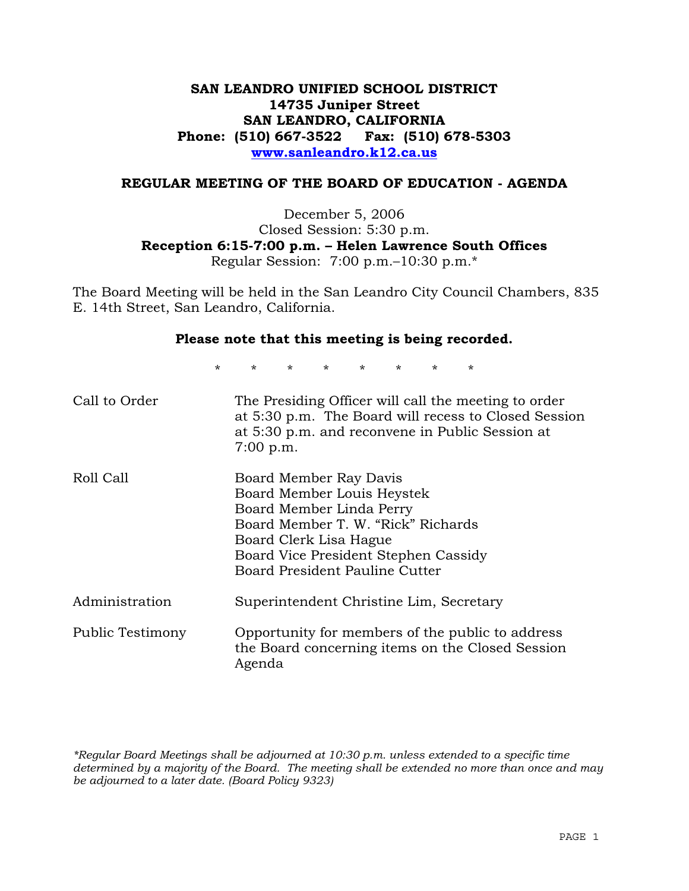# **SAN LEANDRO UNIFIED SCHOOL DISTRICT 14735 Juniper Street SAN LEANDRO, CALIFORNIA Phone: (510) 667-3522 Fax: (510) 678-5303 www.sanleandro.k12.ca.us**

#### **REGULAR MEETING OF THE BOARD OF EDUCATION - AGENDA**

December 5, 2006 Closed Session: 5:30 p.m. **Reception 6:15-7:00 p.m. – Helen Lawrence South Offices**  Regular Session: 7:00 p.m.–10:30 p.m.\*

The Board Meeting will be held in the San Leandro City Council Chambers, 835 E. 14th Street, San Leandro, California.

#### **Please note that this meeting is being recorded.**

\* \* \* \* \* \* \* \*

| Call to Order    | The Presiding Officer will call the meeting to order<br>at 5:30 p.m. The Board will recess to Closed Session<br>at 5:30 p.m. and reconvene in Public Session at<br>7:00 p.m.                                               |
|------------------|----------------------------------------------------------------------------------------------------------------------------------------------------------------------------------------------------------------------------|
| Roll Call        | Board Member Ray Davis<br>Board Member Louis Heystek<br>Board Member Linda Perry<br>Board Member T. W. "Rick" Richards<br>Board Clerk Lisa Hague<br>Board Vice President Stephen Cassidy<br>Board President Pauline Cutter |
| Administration   | Superintendent Christine Lim, Secretary                                                                                                                                                                                    |
| Public Testimony | Opportunity for members of the public to address<br>the Board concerning items on the Closed Session<br>Agenda                                                                                                             |

*\*Regular Board Meetings shall be adjourned at 10:30 p.m. unless extended to a specific time determined by a majority of the Board. The meeting shall be extended no more than once and may be adjourned to a later date. (Board Policy 9323)*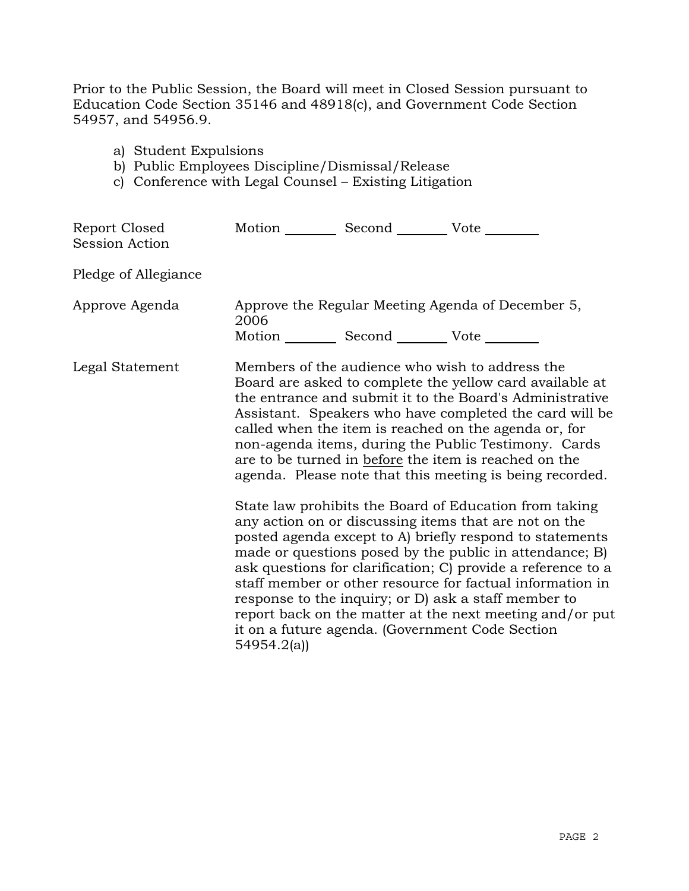Prior to the Public Session, the Board will meet in Closed Session pursuant to Education Code Section 35146 and 48918(c), and Government Code Section 54957, and 54956.9.

- a) Student Expulsions
- b) Public Employees Discipline/Dismissal/Release
- c) Conference with Legal Counsel Existing Litigation

| Report Closed<br><b>Session Action</b> | Motion __________ Second __________ Vote ________               |                                                                                                                                                                                                                                                                                                                                                                                                                                                                                                                                                                                                                                                                                                                                                                                                                                                                                                                                                                                                                        |
|----------------------------------------|-----------------------------------------------------------------|------------------------------------------------------------------------------------------------------------------------------------------------------------------------------------------------------------------------------------------------------------------------------------------------------------------------------------------------------------------------------------------------------------------------------------------------------------------------------------------------------------------------------------------------------------------------------------------------------------------------------------------------------------------------------------------------------------------------------------------------------------------------------------------------------------------------------------------------------------------------------------------------------------------------------------------------------------------------------------------------------------------------|
| Pledge of Allegiance                   |                                                                 |                                                                                                                                                                                                                                                                                                                                                                                                                                                                                                                                                                                                                                                                                                                                                                                                                                                                                                                                                                                                                        |
| Approve Agenda                         | 2006<br>Motion ____________ Second _____________ Vote _________ | Approve the Regular Meeting Agenda of December 5,                                                                                                                                                                                                                                                                                                                                                                                                                                                                                                                                                                                                                                                                                                                                                                                                                                                                                                                                                                      |
| Legal Statement                        | 54954.2(a)                                                      | Members of the audience who wish to address the<br>Board are asked to complete the yellow card available at<br>the entrance and submit it to the Board's Administrative<br>Assistant. Speakers who have completed the card will be<br>called when the item is reached on the agenda or, for<br>non-agenda items, during the Public Testimony. Cards<br>are to be turned in before the item is reached on the<br>agenda. Please note that this meeting is being recorded.<br>State law prohibits the Board of Education from taking<br>any action on or discussing items that are not on the<br>posted agenda except to A) briefly respond to statements<br>made or questions posed by the public in attendance; B)<br>ask questions for clarification; C) provide a reference to a<br>staff member or other resource for factual information in<br>response to the inquiry; or D) ask a staff member to<br>report back on the matter at the next meeting and/or put<br>it on a future agenda. (Government Code Section |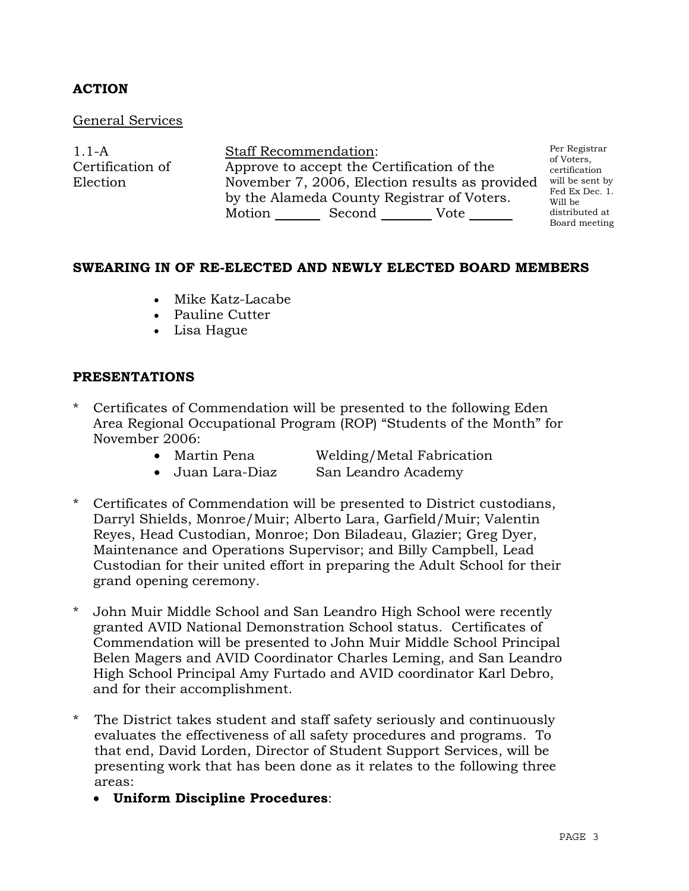# **ACTION**

#### General Services

1.1-A Certification of Election Staff Recommendation: Approve to accept the Certification of the November 7, 2006, Election results as provided will be sent by by the Alameda County Registrar of Voters. Motion Second Vote Per Registrar of Voters, certification Fed Ex Dec. 1. Will be distributed at Board meeting

#### **SWEARING IN OF RE-ELECTED AND NEWLY ELECTED BOARD MEMBERS**

- Mike Katz-Lacabe
- Pauline Cutter
- Lisa Hague

## **PRESENTATIONS**

- Certificates of Commendation will be presented to the following Eden Area Regional Occupational Program (ROP) "Students of the Month" for November 2006:
	- Martin Pena Welding/Metal Fabrication
	- Juan Lara-Diaz San Leandro Academy
- 
- Certificates of Commendation will be presented to District custodians, Darryl Shields, Monroe/Muir; Alberto Lara, Garfield/Muir; Valentin Reyes, Head Custodian, Monroe; Don Biladeau, Glazier; Greg Dyer, Maintenance and Operations Supervisor; and Billy Campbell, Lead Custodian for their united effort in preparing the Adult School for their grand opening ceremony.
- John Muir Middle School and San Leandro High School were recently granted AVID National Demonstration School status. Certificates of Commendation will be presented to John Muir Middle School Principal Belen Magers and AVID Coordinator Charles Leming, and San Leandro High School Principal Amy Furtado and AVID coordinator Karl Debro, and for their accomplishment.
- \* The District takes student and staff safety seriously and continuously evaluates the effectiveness of all safety procedures and programs. To that end, David Lorden, Director of Student Support Services, will be presenting work that has been done as it relates to the following three areas:
	- x **Uniform Discipline Procedures**: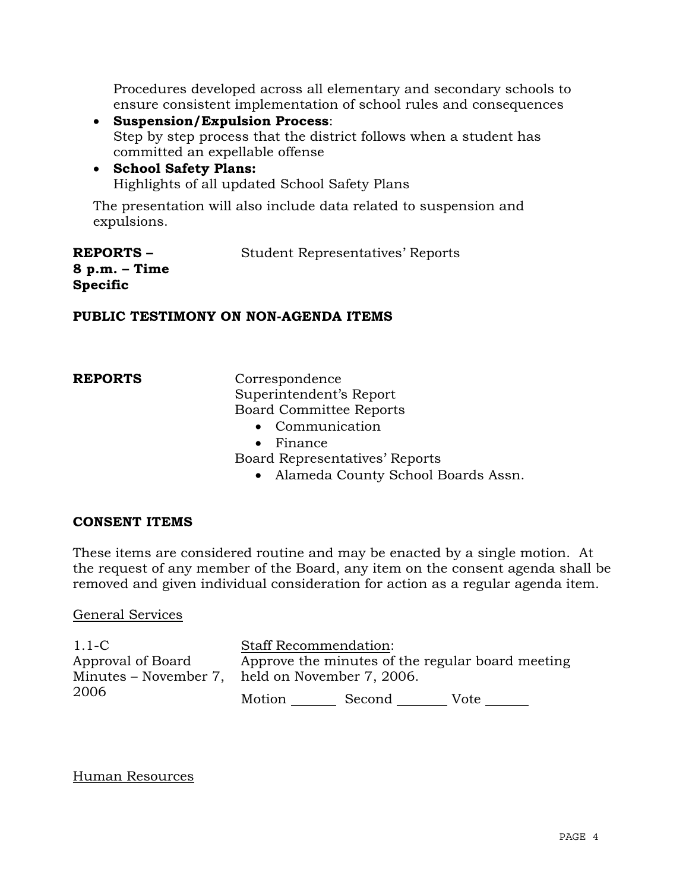Procedures developed across all elementary and secondary schools to ensure consistent implementation of school rules and consequences

- x **Suspension/Expulsion Process**: Step by step process that the district follows when a student has committed an expellable offense
- x **School Safety Plans:**  Highlights of all updated School Safety Plans

The presentation will also include data related to suspension and expulsions.

| <b>REPORTS –</b> | <b>Student Representatives' Reports</b> |
|------------------|-----------------------------------------|
| 8 p.m. – Time    |                                         |
| Specific         |                                         |

## **PUBLIC TESTIMONY ON NON-AGENDA ITEMS**

**REPORTS** Correspondence Superintendent's Report Board Committee Reports

- $\bullet$  Communication
- $\bullet$  Finance

Board Representatives' Reports

• Alameda County School Boards Assn.

# **CONSENT ITEMS**

These items are considered routine and may be enacted by a single motion. At the request of any member of the Board, any item on the consent agenda shall be removed and given individual consideration for action as a regular agenda item.

#### General Services

1.1-C Approval of Board Minutes – November 7, held on November 7, 2006. 2006 Staff Recommendation: Approve the minutes of the regular board meeting Motion Second Vote

# Human Resources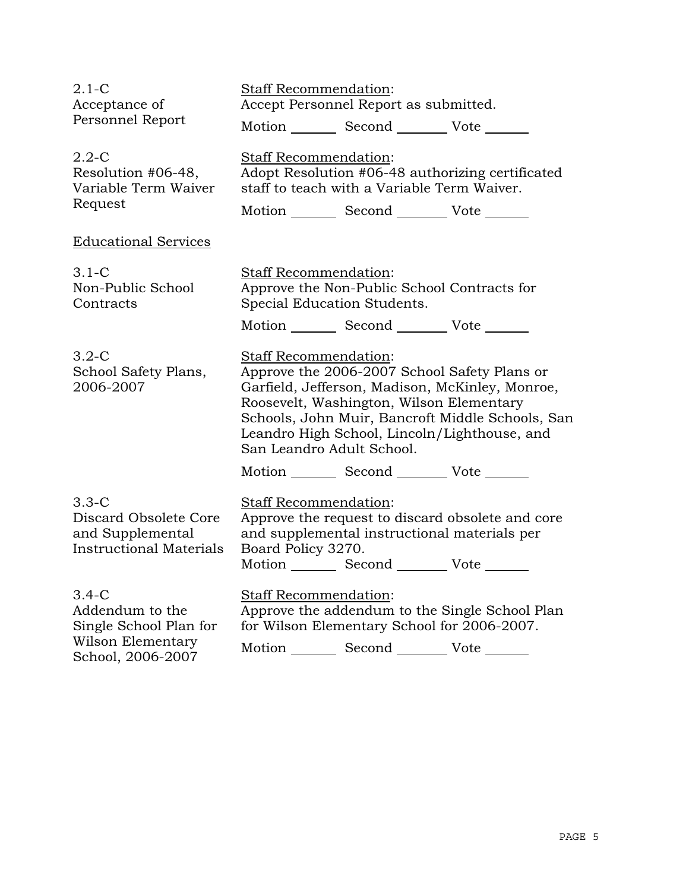| $2.1 - C$<br>Acceptance of<br>Personnel Report                                                 | <b>Staff Recommendation:</b><br>Accept Personnel Report as submitted.<br>Motion _________ Second _________ Vote _______                                                                                                                                                                               |  |  |
|------------------------------------------------------------------------------------------------|-------------------------------------------------------------------------------------------------------------------------------------------------------------------------------------------------------------------------------------------------------------------------------------------------------|--|--|
| $2.2 - C$<br>Resolution #06-48,<br>Variable Term Waiver<br>Request                             | <b>Staff Recommendation:</b><br>Adopt Resolution #06-48 authorizing certificated<br>staff to teach with a Variable Term Waiver.                                                                                                                                                                       |  |  |
|                                                                                                | Motion __________ Second __________ Vote _______                                                                                                                                                                                                                                                      |  |  |
| <b>Educational Services</b>                                                                    |                                                                                                                                                                                                                                                                                                       |  |  |
| $3.1 - C$<br>Non-Public School<br>Contracts                                                    | Staff Recommendation:<br>Approve the Non-Public School Contracts for<br>Special Education Students.                                                                                                                                                                                                   |  |  |
|                                                                                                | Motion _________ Second __________ Vote _______                                                                                                                                                                                                                                                       |  |  |
| $3.2-C$<br>School Safety Plans,<br>2006-2007                                                   | Staff Recommendation:<br>Approve the 2006-2007 School Safety Plans or<br>Garfield, Jefferson, Madison, McKinley, Monroe,<br>Roosevelt, Washington, Wilson Elementary<br>Schools, John Muir, Bancroft Middle Schools, San<br>Leandro High School, Lincoln/Lighthouse, and<br>San Leandro Adult School. |  |  |
|                                                                                                | Motion _________ Second __________ Vote _______                                                                                                                                                                                                                                                       |  |  |
| $3.3 - C$<br>Discard Obsolete Core<br>and Supplemental<br><b>Instructional Materials</b>       | Staff Recommendation:<br>Approve the request to discard obsolete and core<br>and supplemental instructional materials per<br>Board Policy 3270.<br>Motion __________ Second __________ Vote _______                                                                                                   |  |  |
| $3.4-C$<br>Addendum to the<br>Single School Plan for<br>Wilson Elementary<br>School, 2006-2007 | Staff Recommendation:<br>Approve the addendum to the Single School Plan<br>for Wilson Elementary School for 2006-2007.<br>Motion _________ Second __________ Vote _______                                                                                                                             |  |  |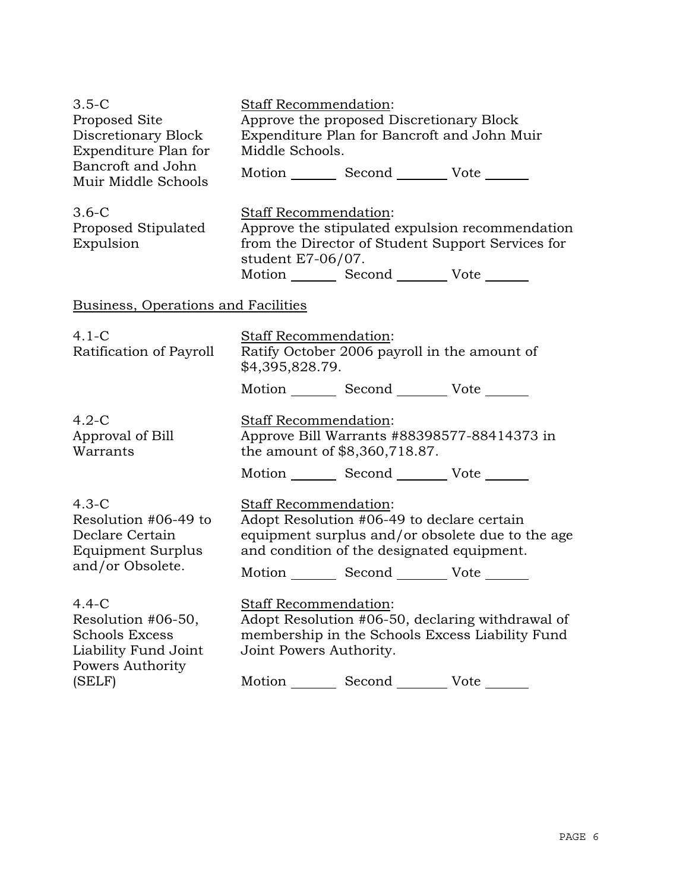| $3.5-C$<br>Proposed Site<br>Discretionary Block<br>Expenditure Plan for<br>Bancroft and John<br>Muir Middle Schools | Staff Recommendation:<br>Middle Schools.                                                                                                                       | Approve the proposed Discretionary Block<br>Expenditure Plan for Bancroft and John Muir<br>Motion Second Vote                               |                                                                                                      |
|---------------------------------------------------------------------------------------------------------------------|----------------------------------------------------------------------------------------------------------------------------------------------------------------|---------------------------------------------------------------------------------------------------------------------------------------------|------------------------------------------------------------------------------------------------------|
| $3.6-C$<br>Proposed Stipulated<br>Expulsion                                                                         | <b>Staff Recommendation:</b><br>student E7-06/07.                                                                                                              | Motion _________ Second __________ Vote _______                                                                                             | Approve the stipulated expulsion recommendation<br>from the Director of Student Support Services for |
| <b>Business, Operations and Facilities</b>                                                                          |                                                                                                                                                                |                                                                                                                                             |                                                                                                      |
| $4.1 - C$<br>Ratification of Payroll                                                                                | <b>Staff Recommendation:</b><br>\$4,395,828.79.                                                                                                                | Ratify October 2006 payroll in the amount of                                                                                                |                                                                                                      |
|                                                                                                                     |                                                                                                                                                                | Motion _________ Second __________ Vote _______                                                                                             |                                                                                                      |
| $4.2-C$<br>Approval of Bill<br>Warrants                                                                             | <b>Staff Recommendation:</b><br>the amount of \$8,360,718.87.                                                                                                  | Motion _________ Second __________ Vote _______                                                                                             | Approve Bill Warrants #88398577-88414373 in                                                          |
| $4.3-C$<br>Resolution #06-49 to<br>Declare Certain<br>Equipment Surplus<br>and/or Obsolete.                         | <b>Staff Recommendation:</b>                                                                                                                                   | Adopt Resolution #06-49 to declare certain<br>and condition of the designated equipment.<br>Motion _________ Second __________ Vote _______ | equipment surplus and/or obsolete due to the age                                                     |
| $4.4-C$<br>Resolution #06-50,<br><b>Schools Excess</b><br>Liability Fund Joint<br>Powers Authority                  | <b>Staff Recommendation:</b><br>Adopt Resolution #06-50, declaring withdrawal of<br>membership in the Schools Excess Liability Fund<br>Joint Powers Authority. |                                                                                                                                             |                                                                                                      |
| (SELF)                                                                                                              |                                                                                                                                                                | Motion _________ Second _________ Vote _______                                                                                              |                                                                                                      |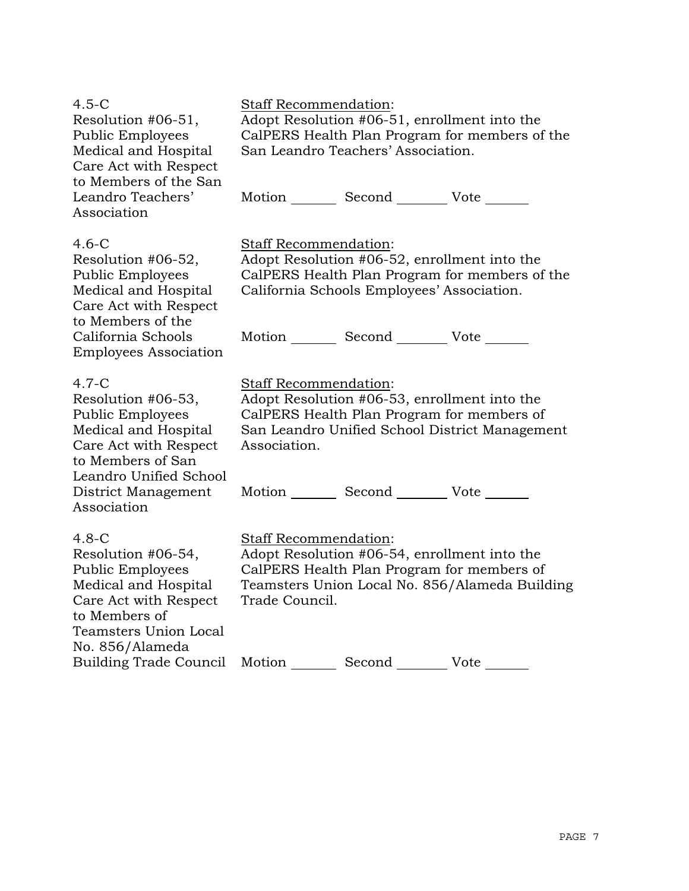| $4.5-C$<br>Resolution #06-51,<br><b>Public Employees</b><br>Medical and Hospital<br>Care Act with Respect                                                                                      | <b>Staff Recommendation:</b><br>Adopt Resolution #06-51, enrollment into the<br>CalPERS Health Plan Program for members of the<br>San Leandro Teachers' Association.                         |  |  |
|------------------------------------------------------------------------------------------------------------------------------------------------------------------------------------------------|----------------------------------------------------------------------------------------------------------------------------------------------------------------------------------------------|--|--|
| to Members of the San<br>Leandro Teachers'<br>Association                                                                                                                                      | Motion _________ Second _________ Vote _______                                                                                                                                               |  |  |
| $4.6-C$<br>Resolution #06-52,<br><b>Public Employees</b><br>Medical and Hospital<br>Care Act with Respect<br>to Members of the                                                                 | Staff Recommendation:<br>Adopt Resolution #06-52, enrollment into the<br>CalPERS Health Plan Program for members of the<br>California Schools Employees' Association.                        |  |  |
| California Schools<br><b>Employees Association</b>                                                                                                                                             | Motion _________ Second _________ Vote _______                                                                                                                                               |  |  |
| $4.7-C$<br>Resolution #06-53,<br><b>Public Employees</b><br>Medical and Hospital<br>Care Act with Respect<br>to Members of San<br>Leandro Unified School<br>District Management<br>Association | <b>Staff Recommendation:</b><br>Adopt Resolution #06-53, enrollment into the<br>CalPERS Health Plan Program for members of<br>San Leandro Unified School District Management<br>Association. |  |  |
|                                                                                                                                                                                                | Motion _________ Second __________ Vote _______                                                                                                                                              |  |  |
| $4.8-C$<br>Resolution #06-54,<br><b>Public Employees</b><br>Medical and Hospital<br>Care Act with Respect<br>to Members of<br><b>Teamsters Union Local</b><br>No. 856/Alameda                  | Staff Recommendation:<br>Adopt Resolution #06-54, enrollment into the<br>CalPERS Health Plan Program for members of<br>Teamsters Union Local No. 856/Alameda Building<br>Trade Council.      |  |  |
| <b>Building Trade Council</b>                                                                                                                                                                  | Second<br>Vote<br>Motion                                                                                                                                                                     |  |  |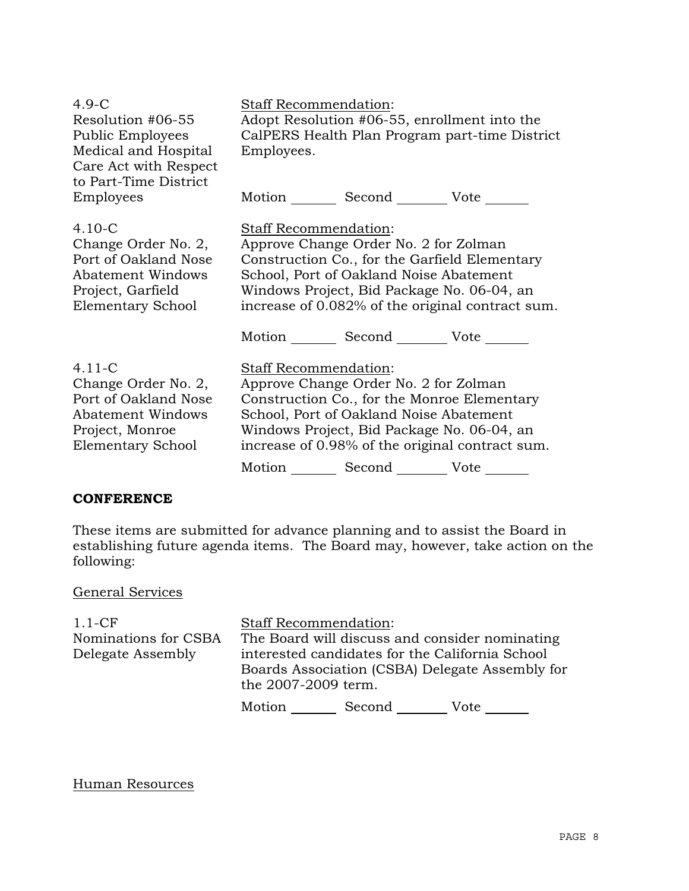| $4.9-C$<br>Resolution #06-55<br><b>Public Employees</b><br>Medical and Hospital<br>Care Act with Respect<br>to Part-Time District | <b>Staff Recommendation:</b><br>Adopt Resolution #06-55, enrollment into the<br>CalPERS Health Plan Program part-time District<br>Employees.                                                                                                                                           |
|-----------------------------------------------------------------------------------------------------------------------------------|----------------------------------------------------------------------------------------------------------------------------------------------------------------------------------------------------------------------------------------------------------------------------------------|
| Employees                                                                                                                         | Motion _________ Second __________ Vote _______                                                                                                                                                                                                                                        |
| $4.10 - C$<br>Change Order No. 2,<br>Port of Oakland Nose<br>Abatement Windows<br>Project, Garfield<br>Elementary School          | Staff Recommendation:<br>Approve Change Order No. 2 for Zolman<br>Construction Co., for the Garfield Elementary<br>School, Port of Oakland Noise Abatement<br>Windows Project, Bid Package No. 06-04, an<br>increase of 0.082% of the original contract sum.<br>Motion Second Vote     |
| $4.11 - C$<br>Change Order No. 2,<br>Port of Oakland Nose<br><b>Abatement Windows</b><br>Project, Monroe<br>Elementary School     | <b>Staff Recommendation:</b><br>Approve Change Order No. 2 for Zolman<br>Construction Co., for the Monroe Elementary<br>School, Port of Oakland Noise Abatement<br>Windows Project, Bid Package No. 06-04, an<br>increase of 0.98% of the original contract sum.<br>Motion Second Vote |

# **CONFERENCE**

These items are submitted for advance planning and to assist the Board in establishing future agenda items. The Board may, however, take action on the following:

# General Services

| $1.1 - CF$           | <b>Staff Recommendation:</b>                    |        |                                                |
|----------------------|-------------------------------------------------|--------|------------------------------------------------|
| Nominations for CSBA |                                                 |        | The Board will discuss and consider nominating |
| Delegate Assembly    | interested candidates for the California School |        |                                                |
|                      | Boards Association (CSBA) Delegate Assembly for |        |                                                |
|                      | the 2007-2009 term.                             |        |                                                |
|                      | Motion                                          | Second | Vote                                           |

## Human Resources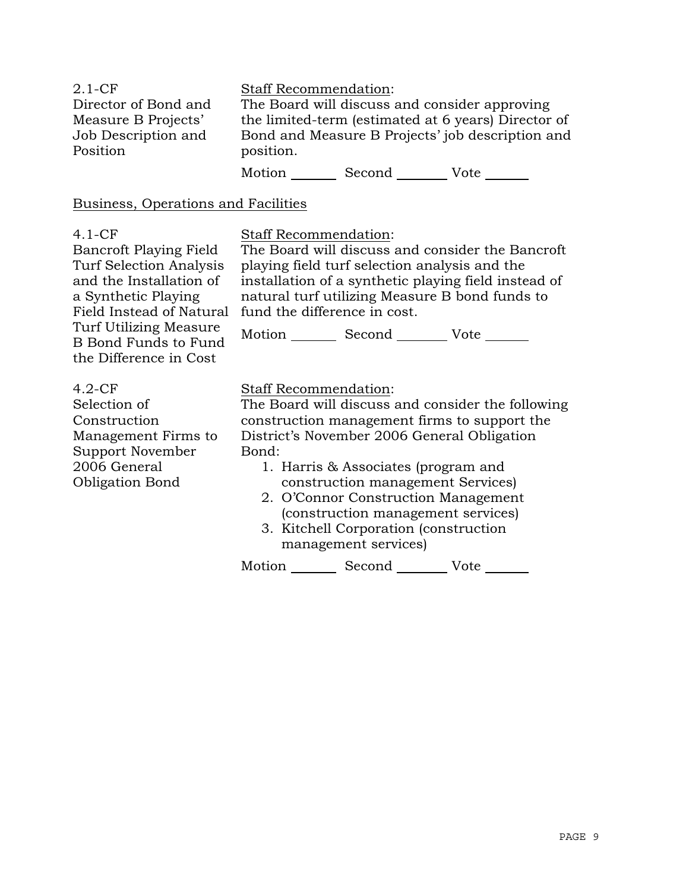| $2.1-CF$             | <b>Staff Recommendation:</b>                        |
|----------------------|-----------------------------------------------------|
| Director of Bond and | The Board will discuss and consider approving       |
| Measure B Projects'  | the limited-term (estimated at 6 years) Director of |
| Job Description and  | Bond and Measure B Projects' job description and    |
| Position             | position.                                           |
|                      | Motion<br>Second<br>Vote                            |

#### Business, Operations and Facilities

#### 4.1-CF

Bancroft Playing Field Turf Selection Analysis and the Installation of a Synthetic Playing Field Instead of Natural Turf Utilizing Measure B Bond Funds to Fund the Difference in Cost

# Staff Recommendation:

The Board will discuss and consider the Bancroft playing field turf selection analysis and the installation of a synthetic playing field instead of natural turf utilizing Measure B bond funds to fund the difference in cost.

Motion \_\_\_\_\_\_\_\_\_ Second \_\_\_\_\_\_\_\_\_ Vote \_\_\_\_\_\_\_

# 4.2-CF

Selection of Construction Management Firms to Support November 2006 General Obligation Bond

# Staff Recommendation:

The Board will discuss and consider the following construction management firms to support the District's November 2006 General Obligation Bond:

- 1. Harris & Associates (program and construction management Services)
- 2. O'Connor Construction Management (construction management services)
- 3. Kitchell Corporation (construction management services)

Motion \_\_\_\_\_\_\_\_\_ Second \_\_\_\_\_\_\_\_\_ Vote \_\_\_\_\_\_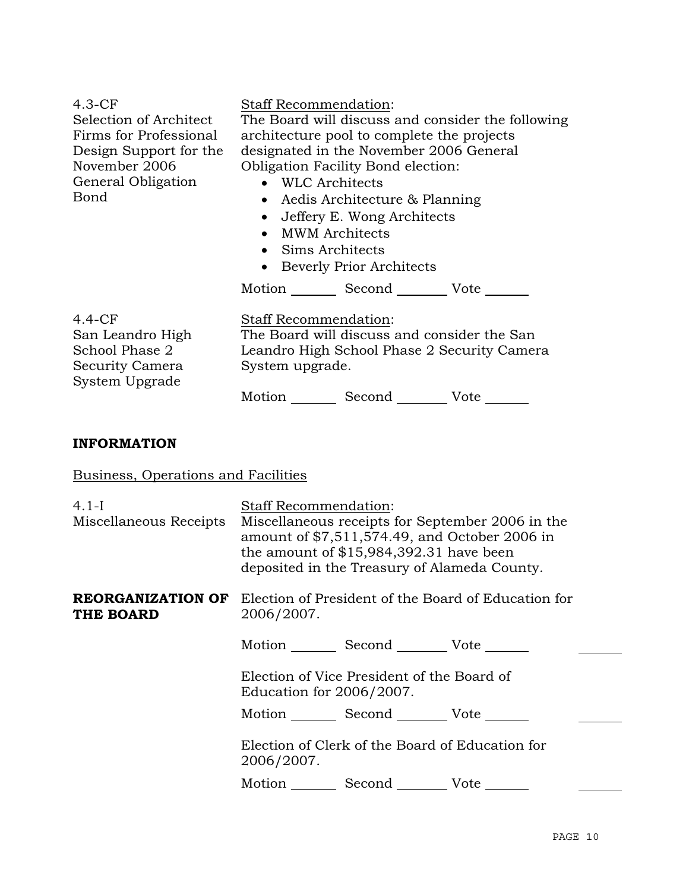4.3-CF Selection of Architect Firms for Professional Design Support for the November 2006 General Obligation Bond Staff Recommendation: The Board will discuss and consider the following architecture pool to complete the projects designated in the November 2006 General Obligation Facility Bond election: • WLC Architects • Aedis Architecture & Planning • Jeffery E. Wong Architects • MWM Architects • Sims Architects • Beverly Prior Architects Motion Second Vote 4.4-CF San Leandro High School Phase 2 Security Camera System Upgrade Staff Recommendation: The Board will discuss and consider the San Leandro High School Phase 2 Security Camera System upgrade. Motion Second Vote **INFORMATION** Business, Operations and Facilities 4.1-I Miscellaneous Receipts Staff Recommendation: Miscellaneous receipts for September 2006 in the amount of \$7,511,574.49, and October 2006 in the amount of \$15,984,392.31 have been deposited in the Treasury of Alameda County. **REORGANIZATION OF**  Election of President of the Board of Education for **THE BOARD**  2006/2007. Motion Second Vote Election of Vice President of the Board of

Education for 2006/2007.

Motion Second Vote

 Election of Clerk of the Board of Education for 2006/2007.

Motion Second Vote